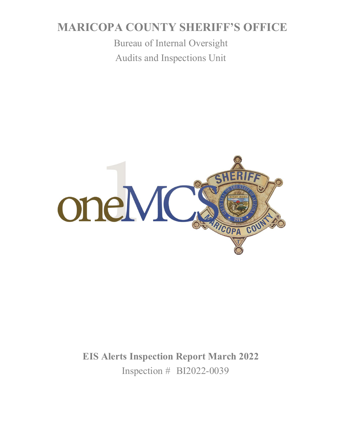# **MARICOPA COUNTY SHERIFF'S OFFICE**

Bureau of Internal Oversight Audits and Inspections Unit



**EIS Alerts Inspection Report March 2022** Inspection # BI2022-0039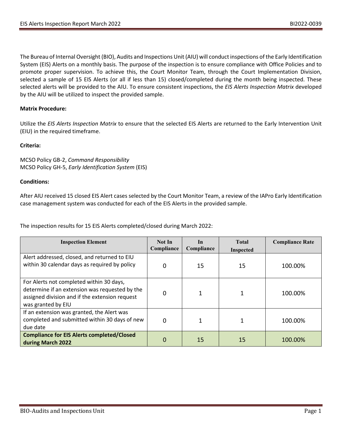The Bureau of Internal Oversight (BIO), Audits and Inspections Unit (AIU) will conduct inspections of the Early Identification System (EIS) Alerts on a monthly basis. The purpose of the inspection is to ensure compliance with Office Policies and to promote proper supervision. To achieve this, the Court Monitor Team, through the Court Implementation Division, selected a sample of 15 EIS Alerts (or all if less than 15) closed/completed during the month being inspected. These selected alerts will be provided to the AIU. To ensure consistent inspections, the *EIS Alerts Inspection Matrix* developed by the AIU will be utilized to inspect the provided sample.

## **Matrix Procedure:**

Utilize the *EIS Alerts Inspection Matrix* to ensure that the selected EIS Alerts are returned to the Early Intervention Unit (EIU) in the required timeframe.

## **Criteria:**

MCSO Policy GB-2, *Command Responsibility* MCSO Policy GH-5, *Early Identification System* (EIS)

# **Conditions:**

After AIU received 15 closed EIS Alert cases selected by the Court Monitor Team, a review of the IAPro Early Identification case management system was conducted for each of the EIS Alerts in the provided sample.

The inspection results for 15 EIS Alerts completed/closed during March 2022:

| <b>Inspection Element</b>                                                                                                                                          | Not In<br>Compliance | In<br>Compliance | <b>Total</b><br><b>Inspected</b> | <b>Compliance Rate</b> |
|--------------------------------------------------------------------------------------------------------------------------------------------------------------------|----------------------|------------------|----------------------------------|------------------------|
| Alert addressed, closed, and returned to EIU<br>within 30 calendar days as required by policy                                                                      | 0                    | 15               | 15                               | 100.00%                |
| For Alerts not completed within 30 days,<br>determine if an extension was requested by the<br>assigned division and if the extension request<br>was granted by EIU | 0                    |                  |                                  | 100.00%                |
| If an extension was granted, the Alert was<br>completed and submitted within 30 days of new<br>due date                                                            | $\Omega$             |                  |                                  | 100.00%                |
| <b>Compliance for EIS Alerts completed/Closed</b><br>during March 2022                                                                                             | 0                    | 15               | 15                               | 100.00%                |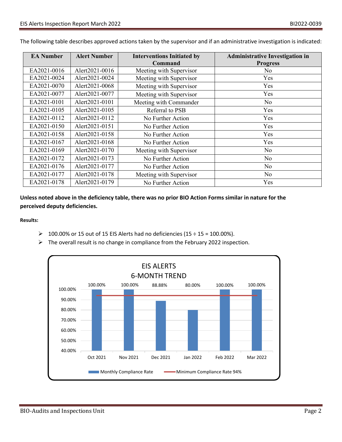| <b>EA Number</b> | <b>Alert Number</b> | <b>Interventions Initiated by</b> | <b>Administrative Investigation in</b> |
|------------------|---------------------|-----------------------------------|----------------------------------------|
|                  |                     | Command                           | <b>Progress</b>                        |
| EA2021-0016      | Alert2021-0016      | Meeting with Supervisor           | N <sub>o</sub>                         |
| EA2021-0024      | Alert2021-0024      | Meeting with Supervisor           | Yes                                    |
| EA2021-0070      | Alert2021-0068      | Meeting with Supervisor           | Yes                                    |
| EA2021-0077      | Alert2021-0077      | Meeting with Supervisor           | Yes                                    |
| EA2021-0101      | Alert2021-0101      | Meeting with Commander            | No                                     |
| EA2021-0105      | Alert2021-0105      | Referral to PSB                   | Yes                                    |
| EA2021-0112      | Alert2021-0112      | No Further Action                 | Yes                                    |
| EA2021-0150      | Alert2021-0151      | No Further Action                 | Yes                                    |
| EA2021-0158      | Alert2021-0158      | No Further Action                 | Yes                                    |
| EA2021-0167      | Alert2021-0168      | No Further Action                 | Yes                                    |
| EA2021-0169      | Alert2021-0170      | Meeting with Supervisor           | No                                     |
| EA2021-0172      | Alert2021-0173      | No Further Action                 | No                                     |
| EA2021-0176      | Alert2021-0177      | No Further Action                 | No                                     |
| EA2021-0177      | Alert2021-0178      | Meeting with Supervisor           | No                                     |
| EA2021-0178      | Alert2021-0179      | No Further Action                 | Yes                                    |

The following table describes approved actions taken by the supervisor and if an administrative investigation is indicated:

**Unless noted above in the deficiency table, there was no prior BIO Action Forms similar in nature for the perceived deputy deficiencies.**

**Results:**

- **▶ 100.00% or 15 out of 15 EIS Alerts had no deficiencies (15 ÷ 15 = 100.00%).**
- $\triangleright$  The overall result is no change in compliance from the February 2022 inspection.